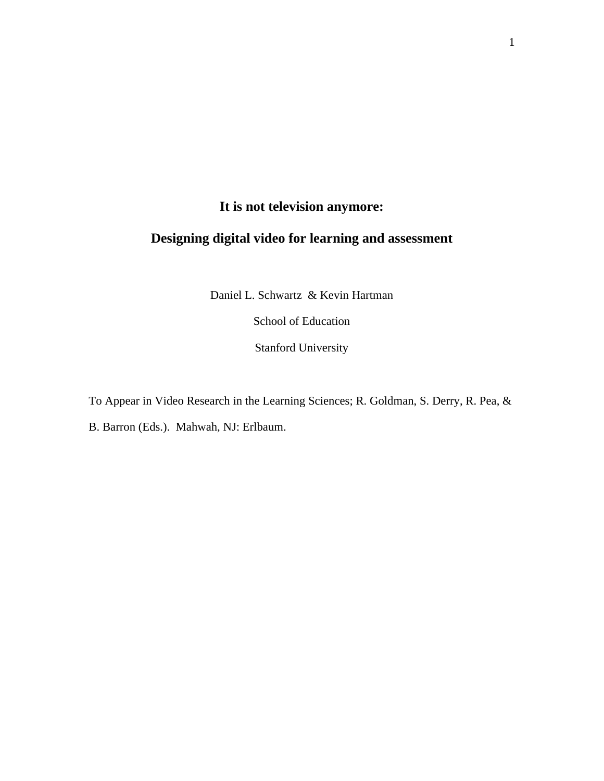# **It is not television anymore:**

# **Designing digital video for learning and assessment**

Daniel L. Schwartz & Kevin Hartman

School of Education

Stanford University

To Appear in Video Research in the Learning Sciences; R. Goldman, S. Derry, R. Pea, & B. Barron (Eds.). Mahwah, NJ: Erlbaum.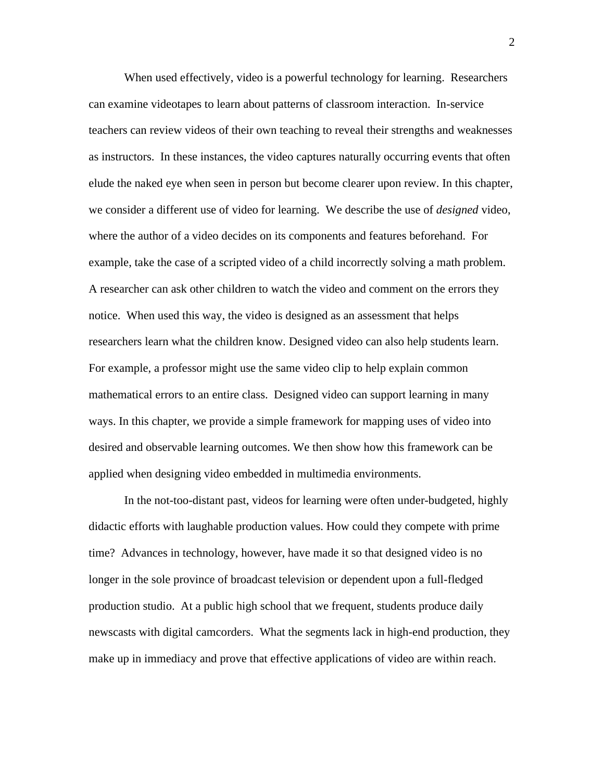When used effectively, video is a powerful technology for learning. Researchers can examine videotapes to learn about patterns of classroom interaction. In-service teachers can review videos of their own teaching to reveal their strengths and weaknesses as instructors. In these instances, the video captures naturally occurring events that often elude the naked eye when seen in person but become clearer upon review. In this chapter, we consider a different use of video for learning. We describe the use of *designed* video, where the author of a video decides on its components and features beforehand. For example, take the case of a scripted video of a child incorrectly solving a math problem. A researcher can ask other children to watch the video and comment on the errors they notice. When used this way, the video is designed as an assessment that helps researchers learn what the children know. Designed video can also help students learn. For example, a professor might use the same video clip to help explain common mathematical errors to an entire class. Designed video can support learning in many ways. In this chapter, we provide a simple framework for mapping uses of video into desired and observable learning outcomes. We then show how this framework can be applied when designing video embedded in multimedia environments.

In the not-too-distant past, videos for learning were often under-budgeted, highly didactic efforts with laughable production values. How could they compete with prime time? Advances in technology, however, have made it so that designed video is no longer in the sole province of broadcast television or dependent upon a full-fledged production studio. At a public high school that we frequent, students produce daily newscasts with digital camcorders. What the segments lack in high-end production, they make up in immediacy and prove that effective applications of video are within reach.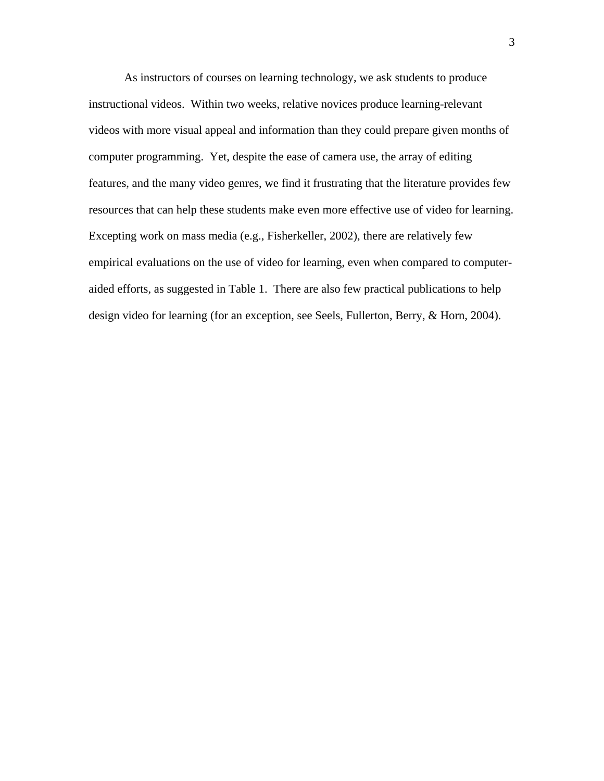As instructors of courses on learning technology, we ask students to produce instructional videos. Within two weeks, relative novices produce learning-relevant videos with more visual appeal and information than they could prepare given months of computer programming. Yet, despite the ease of camera use, the array of editing features, and the many video genres, we find it frustrating that the literature provides few resources that can help these students make even more effective use of video for learning. Excepting work on mass media (e.g., Fisherkeller, 2002), there are relatively few empirical evaluations on the use of video for learning, even when compared to computeraided efforts, as suggested in Table 1. There are also few practical publications to help design video for learning (for an exception, see Seels, Fullerton, Berry, & Horn, 2004).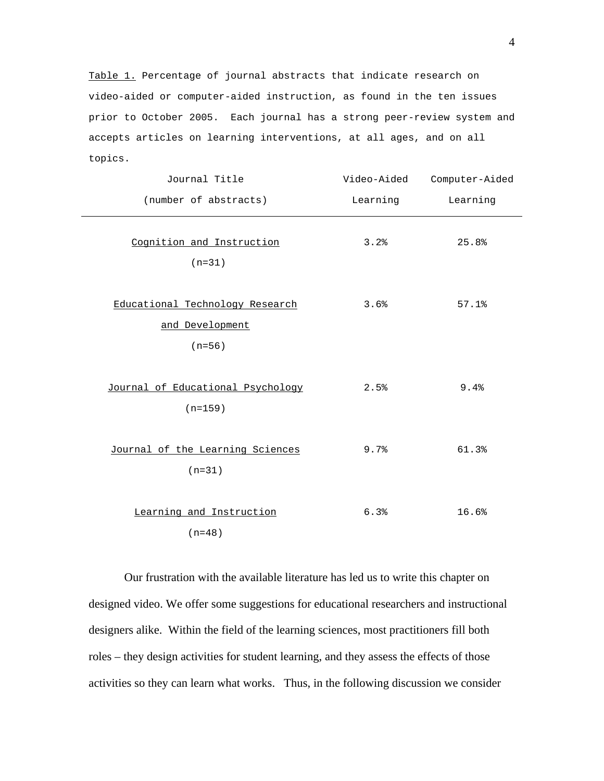Table 1. Percentage of journal abstracts that indicate research on video-aided or computer-aided instruction, as found in the ten issues prior to October 2005. Each journal has a strong peer-review system and accepts articles on learning interventions, at all ages, and on all topics.

| Journal Title                                                  | Video-Aided | Computer-Aided |
|----------------------------------------------------------------|-------------|----------------|
| (number of abstracts)                                          | Learning    | Learning       |
| Cognition and Instruction<br>$(n=31)$                          | 3.2%        | 25.8%          |
| Educational Technology Research<br>and Development<br>$(n=56)$ | 3.6%        | 57.1%          |
| Journal of Educational Psychology<br>$(n=159)$                 | 2.5%        | 9.4%           |
| Journal of the Learning Sciences<br>$(n=31)$                   | 9.7%        | 61.3%          |
| Learning and Instruction<br>$(n=48)$                           | 6.3%        | 16.6%          |

Our frustration with the available literature has led us to write this chapter on designed video. We offer some suggestions for educational researchers and instructional designers alike. Within the field of the learning sciences, most practitioners fill both roles – they design activities for student learning, and they assess the effects of those activities so they can learn what works. Thus, in the following discussion we consider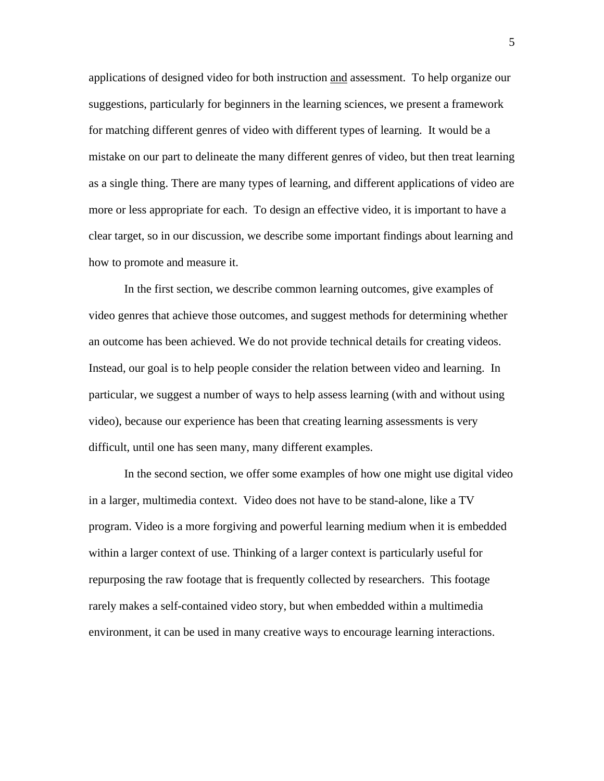applications of designed video for both instruction and assessment. To help organize our suggestions, particularly for beginners in the learning sciences, we present a framework for matching different genres of video with different types of learning. It would be a mistake on our part to delineate the many different genres of video, but then treat learning as a single thing. There are many types of learning, and different applications of video are more or less appropriate for each. To design an effective video, it is important to have a clear target, so in our discussion, we describe some important findings about learning and how to promote and measure it.

In the first section, we describe common learning outcomes, give examples of video genres that achieve those outcomes, and suggest methods for determining whether an outcome has been achieved. We do not provide technical details for creating videos. Instead, our goal is to help people consider the relation between video and learning. In particular, we suggest a number of ways to help assess learning (with and without using video), because our experience has been that creating learning assessments is very difficult, until one has seen many, many different examples.

In the second section, we offer some examples of how one might use digital video in a larger, multimedia context. Video does not have to be stand-alone, like a TV program. Video is a more forgiving and powerful learning medium when it is embedded within a larger context of use. Thinking of a larger context is particularly useful for repurposing the raw footage that is frequently collected by researchers. This footage rarely makes a self-contained video story, but when embedded within a multimedia environment, it can be used in many creative ways to encourage learning interactions.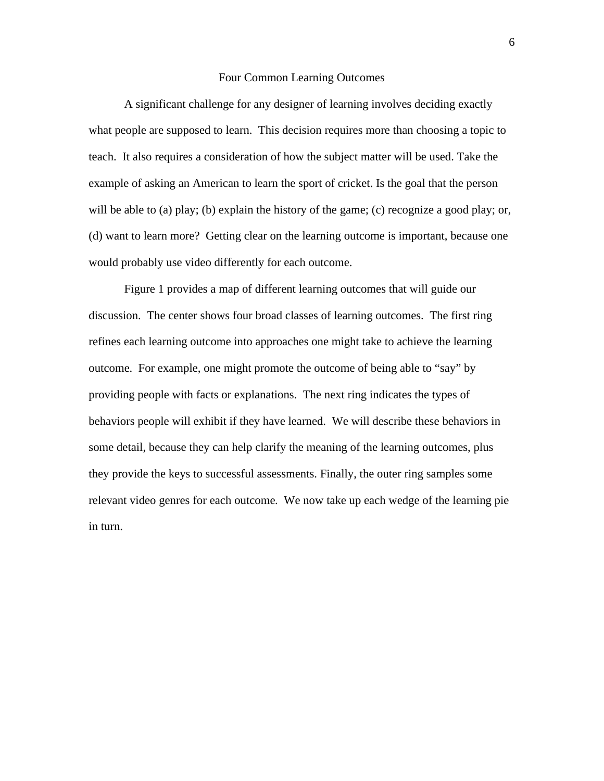#### Four Common Learning Outcomes

A significant challenge for any designer of learning involves deciding exactly what people are supposed to learn. This decision requires more than choosing a topic to teach. It also requires a consideration of how the subject matter will be used. Take the example of asking an American to learn the sport of cricket. Is the goal that the person will be able to (a) play; (b) explain the history of the game; (c) recognize a good play; or, (d) want to learn more? Getting clear on the learning outcome is important, because one would probably use video differently for each outcome.

Figure 1 provides a map of different learning outcomes that will guide our discussion. The center shows four broad classes of learning outcomes. The first ring refines each learning outcome into approaches one might take to achieve the learning outcome. For example, one might promote the outcome of being able to "say" by providing people with facts or explanations. The next ring indicates the types of behaviors people will exhibit if they have learned. We will describe these behaviors in some detail, because they can help clarify the meaning of the learning outcomes, plus they provide the keys to successful assessments. Finally, the outer ring samples some relevant video genres for each outcome. We now take up each wedge of the learning pie in turn.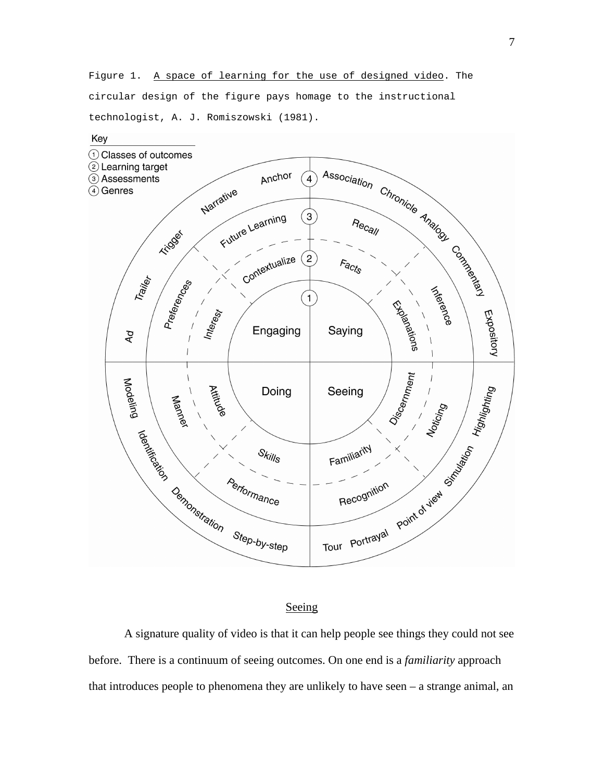Figure 1. A space of learning for the use of designed video. The circular design of the figure pays homage to the instructional technologist, A. J. Romiszowski (1981).



A signature quality of video is that it can help people see things they could not see before. There is a continuum of seeing outcomes. On one end is a *familiarity* approach that introduces people to phenomena they are unlikely to have seen – a strange animal, an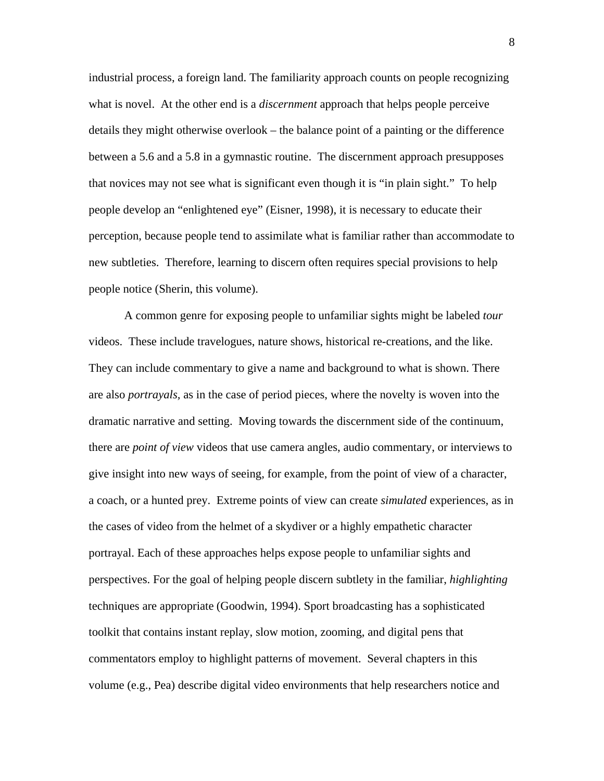industrial process, a foreign land. The familiarity approach counts on people recognizing what is novel. At the other end is a *discernment* approach that helps people perceive details they might otherwise overlook – the balance point of a painting or the difference between a 5.6 and a 5.8 in a gymnastic routine. The discernment approach presupposes that novices may not see what is significant even though it is "in plain sight." To help people develop an "enlightened eye" (Eisner, 1998), it is necessary to educate their perception, because people tend to assimilate what is familiar rather than accommodate to new subtleties. Therefore, learning to discern often requires special provisions to help people notice (Sherin, this volume).

A common genre for exposing people to unfamiliar sights might be labeled *tour* videos. These include travelogues, nature shows, historical re-creations, and the like. They can include commentary to give a name and background to what is shown. There are also *portrayals,* as in the case of period pieces, where the novelty is woven into the dramatic narrative and setting. Moving towards the discernment side of the continuum, there are *point of view* videos that use camera angles, audio commentary, or interviews to give insight into new ways of seeing, for example, from the point of view of a character, a coach, or a hunted prey. Extreme points of view can create *simulated* experiences, as in the cases of video from the helmet of a skydiver or a highly empathetic character portrayal. Each of these approaches helps expose people to unfamiliar sights and perspectives. For the goal of helping people discern subtlety in the familiar, *highlighting* techniques are appropriate (Goodwin, 1994). Sport broadcasting has a sophisticated toolkit that contains instant replay, slow motion, zooming, and digital pens that commentators employ to highlight patterns of movement. Several chapters in this volume (e.g., Pea) describe digital video environments that help researchers notice and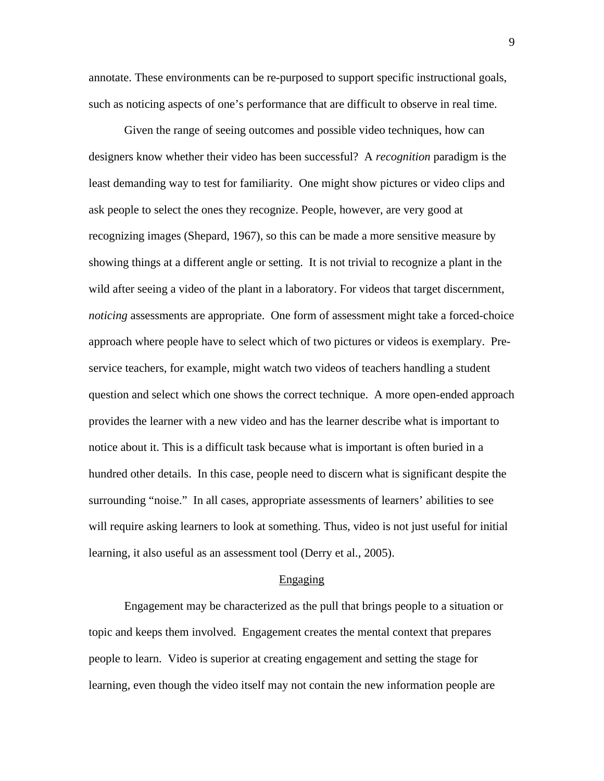annotate. These environments can be re-purposed to support specific instructional goals, such as noticing aspects of one's performance that are difficult to observe in real time.

Given the range of seeing outcomes and possible video techniques, how can designers know whether their video has been successful? A *recognition* paradigm is the least demanding way to test for familiarity. One might show pictures or video clips and ask people to select the ones they recognize. People, however, are very good at recognizing images (Shepard, 1967), so this can be made a more sensitive measure by showing things at a different angle or setting. It is not trivial to recognize a plant in the wild after seeing a video of the plant in a laboratory. For videos that target discernment, *noticing* assessments are appropriate. One form of assessment might take a forced-choice approach where people have to select which of two pictures or videos is exemplary. Preservice teachers, for example, might watch two videos of teachers handling a student question and select which one shows the correct technique. A more open-ended approach provides the learner with a new video and has the learner describe what is important to notice about it. This is a difficult task because what is important is often buried in a hundred other details. In this case, people need to discern what is significant despite the surrounding "noise." In all cases, appropriate assessments of learners' abilities to see will require asking learners to look at something. Thus, video is not just useful for initial learning, it also useful as an assessment tool (Derry et al., 2005).

## Engaging

Engagement may be characterized as the pull that brings people to a situation or topic and keeps them involved. Engagement creates the mental context that prepares people to learn. Video is superior at creating engagement and setting the stage for learning, even though the video itself may not contain the new information people are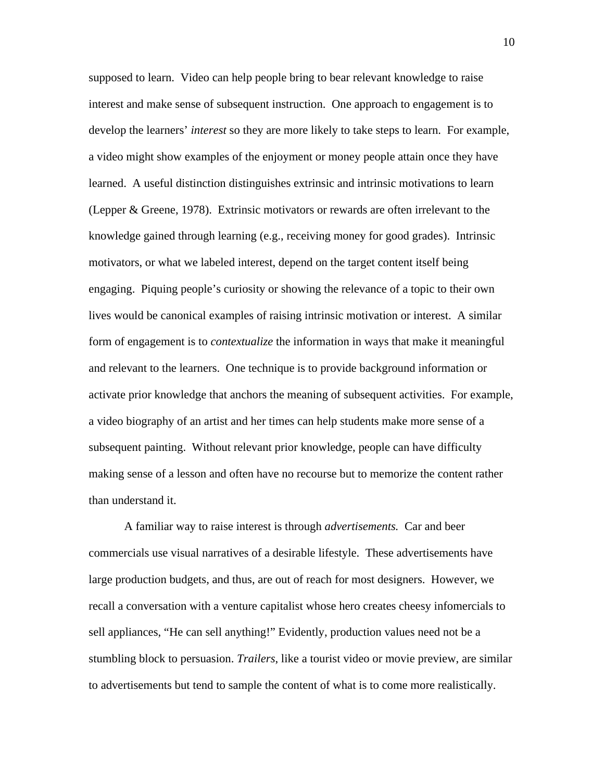supposed to learn. Video can help people bring to bear relevant knowledge to raise interest and make sense of subsequent instruction. One approach to engagement is to develop the learners' *interest* so they are more likely to take steps to learn. For example, a video might show examples of the enjoyment or money people attain once they have learned. A useful distinction distinguishes extrinsic and intrinsic motivations to learn (Lepper & Greene, 1978). Extrinsic motivators or rewards are often irrelevant to the knowledge gained through learning (e.g., receiving money for good grades). Intrinsic motivators, or what we labeled interest, depend on the target content itself being engaging. Piquing people's curiosity or showing the relevance of a topic to their own lives would be canonical examples of raising intrinsic motivation or interest. A similar form of engagement is to *contextualize* the information in ways that make it meaningful and relevant to the learners. One technique is to provide background information or activate prior knowledge that anchors the meaning of subsequent activities. For example, a video biography of an artist and her times can help students make more sense of a subsequent painting. Without relevant prior knowledge, people can have difficulty making sense of a lesson and often have no recourse but to memorize the content rather than understand it.

A familiar way to raise interest is through *advertisements.* Car and beer commercials use visual narratives of a desirable lifestyle. These advertisements have large production budgets, and thus, are out of reach for most designers. However, we recall a conversation with a venture capitalist whose hero creates cheesy infomercials to sell appliances, "He can sell anything!" Evidently, production values need not be a stumbling block to persuasion. *Trailers*, like a tourist video or movie preview, are similar to advertisements but tend to sample the content of what is to come more realistically.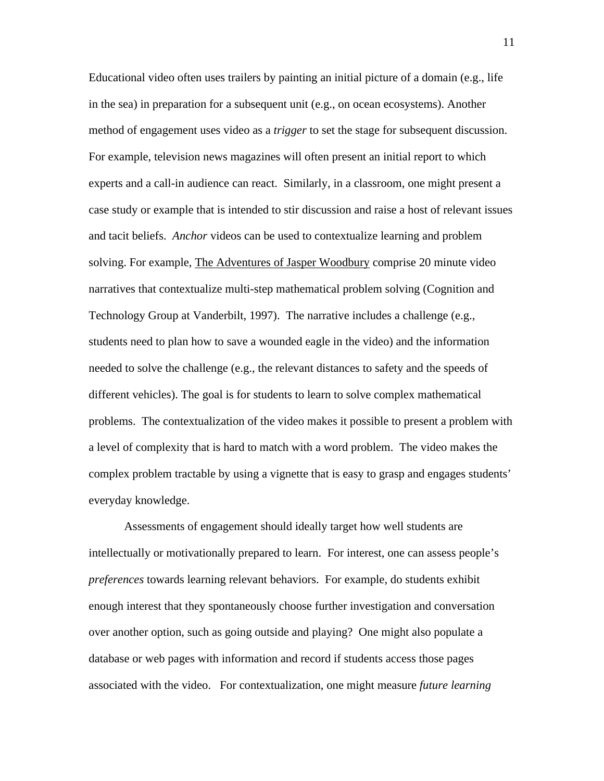Educational video often uses trailers by painting an initial picture of a domain (e.g., life in the sea) in preparation for a subsequent unit (e.g., on ocean ecosystems). Another method of engagement uses video as a *trigger* to set the stage for subsequent discussion. For example, television news magazines will often present an initial report to which experts and a call-in audience can react. Similarly, in a classroom, one might present a case study or example that is intended to stir discussion and raise a host of relevant issues and tacit beliefs. *Anchor* videos can be used to contextualize learning and problem solving. For example, The Adventures of Jasper Woodbury comprise 20 minute video narratives that contextualize multi-step mathematical problem solving (Cognition and Technology Group at Vanderbilt, 1997). The narrative includes a challenge (e.g., students need to plan how to save a wounded eagle in the video) and the information needed to solve the challenge (e.g., the relevant distances to safety and the speeds of different vehicles). The goal is for students to learn to solve complex mathematical problems. The contextualization of the video makes it possible to present a problem with a level of complexity that is hard to match with a word problem. The video makes the complex problem tractable by using a vignette that is easy to grasp and engages students' everyday knowledge.

Assessments of engagement should ideally target how well students are intellectually or motivationally prepared to learn. For interest, one can assess people's *preferences* towards learning relevant behaviors. For example, do students exhibit enough interest that they spontaneously choose further investigation and conversation over another option, such as going outside and playing? One might also populate a database or web pages with information and record if students access those pages associated with the video. For contextualization, one might measure *future learning*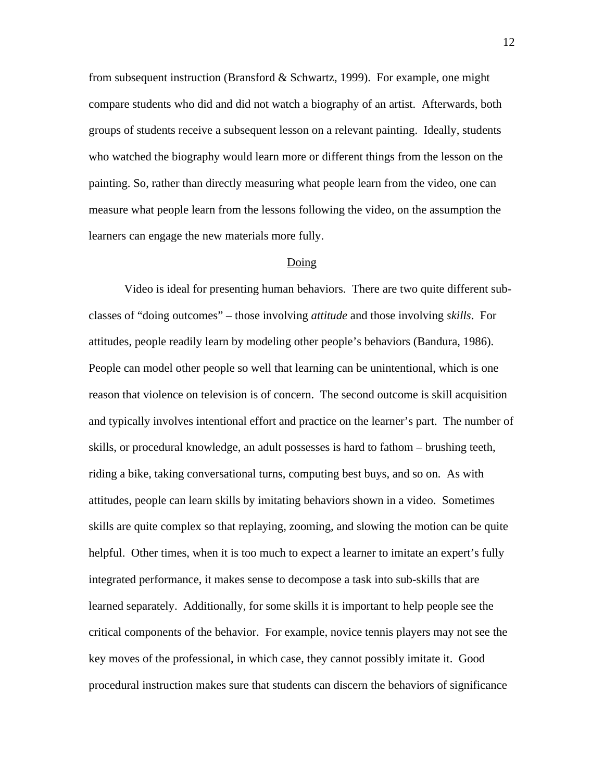from subsequent instruction (Bransford & Schwartz, 1999). For example, one might compare students who did and did not watch a biography of an artist. Afterwards, both groups of students receive a subsequent lesson on a relevant painting. Ideally, students who watched the biography would learn more or different things from the lesson on the painting. So, rather than directly measuring what people learn from the video, one can measure what people learn from the lessons following the video, on the assumption the learners can engage the new materials more fully.

## Doing

Video is ideal for presenting human behaviors. There are two quite different subclasses of "doing outcomes" – those involving *attitude* and those involving *skills*. For attitudes, people readily learn by modeling other people's behaviors (Bandura, 1986). People can model other people so well that learning can be unintentional, which is one reason that violence on television is of concern. The second outcome is skill acquisition and typically involves intentional effort and practice on the learner's part. The number of skills, or procedural knowledge, an adult possesses is hard to fathom – brushing teeth, riding a bike, taking conversational turns, computing best buys, and so on. As with attitudes, people can learn skills by imitating behaviors shown in a video. Sometimes skills are quite complex so that replaying, zooming, and slowing the motion can be quite helpful. Other times, when it is too much to expect a learner to imitate an expert's fully integrated performance, it makes sense to decompose a task into sub-skills that are learned separately. Additionally, for some skills it is important to help people see the critical components of the behavior. For example, novice tennis players may not see the key moves of the professional, in which case, they cannot possibly imitate it. Good procedural instruction makes sure that students can discern the behaviors of significance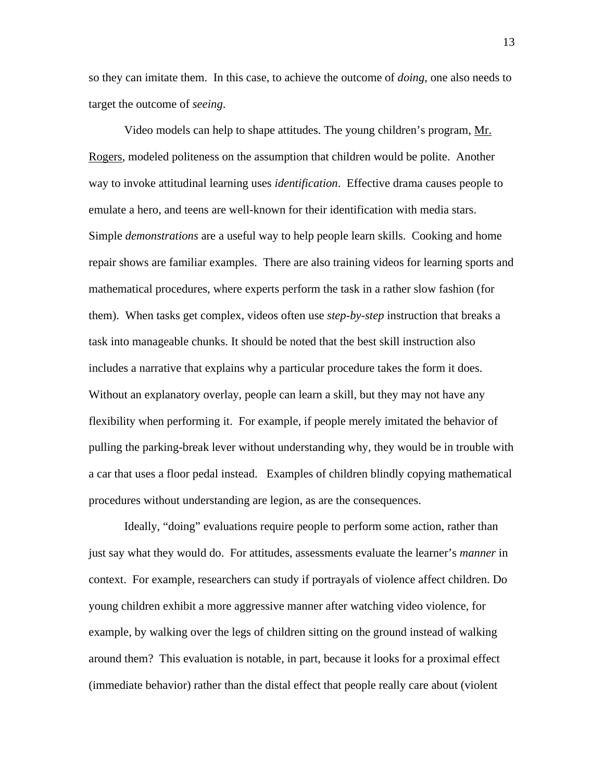so they can imitate them. In this case, to achieve the outcome of *doing*, one also needs to target the outcome of *seeing*.

Video models can help to shape attitudes. The young children's program, Mr. Rogers, modeled politeness on the assumption that children would be polite. Another way to invoke attitudinal learning uses *identification*. Effective drama causes people to emulate a hero, and teens are well-known for their identification with media stars. Simple *demonstrations* are a useful way to help people learn skills. Cooking and home repair shows are familiar examples. There are also training videos for learning sports and mathematical procedures, where experts perform the task in a rather slow fashion (for them). When tasks get complex, videos often use *step-by-step* instruction that breaks a task into manageable chunks. It should be noted that the best skill instruction also includes a narrative that explains why a particular procedure takes the form it does. Without an explanatory overlay, people can learn a skill, but they may not have any flexibility when performing it. For example, if people merely imitated the behavior of pulling the parking-break lever without understanding why, they would be in trouble with a car that uses a floor pedal instead. Examples of children blindly copying mathematical procedures without understanding are legion, as are the consequences.

Ideally, "doing" evaluations require people to perform some action, rather than just say what they would do. For attitudes, assessments evaluate the learner's *manner* in context. For example, researchers can study if portrayals of violence affect children. Do young children exhibit a more aggressive manner after watching video violence, for example, by walking over the legs of children sitting on the ground instead of walking around them? This evaluation is notable, in part, because it looks for a proximal effect (immediate behavior) rather than the distal effect that people really care about (violent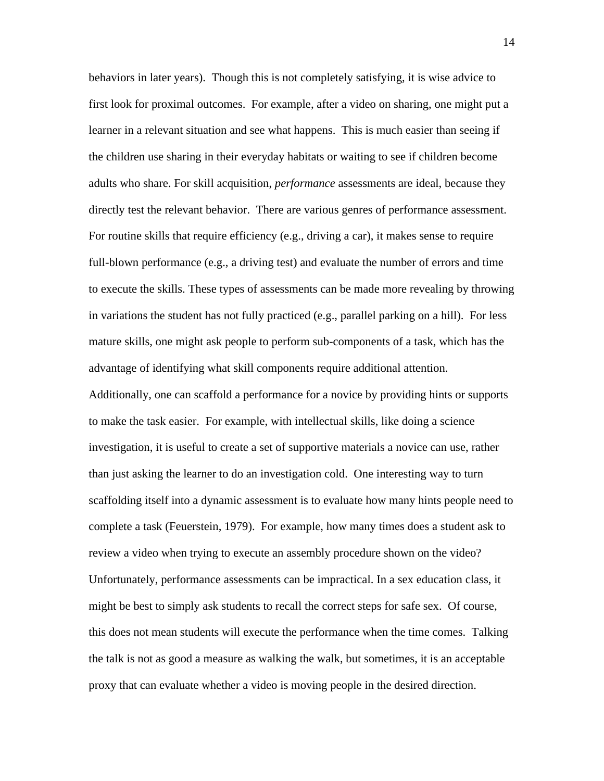behaviors in later years). Though this is not completely satisfying, it is wise advice to first look for proximal outcomes. For example, after a video on sharing, one might put a learner in a relevant situation and see what happens. This is much easier than seeing if the children use sharing in their everyday habitats or waiting to see if children become adults who share. For skill acquisition, *performance* assessments are ideal, because they directly test the relevant behavior. There are various genres of performance assessment. For routine skills that require efficiency (e.g., driving a car), it makes sense to require full-blown performance (e.g., a driving test) and evaluate the number of errors and time to execute the skills. These types of assessments can be made more revealing by throwing in variations the student has not fully practiced (e.g., parallel parking on a hill). For less mature skills, one might ask people to perform sub-components of a task, which has the advantage of identifying what skill components require additional attention. Additionally, one can scaffold a performance for a novice by providing hints or supports to make the task easier. For example, with intellectual skills, like doing a science investigation, it is useful to create a set of supportive materials a novice can use, rather than just asking the learner to do an investigation cold. One interesting way to turn scaffolding itself into a dynamic assessment is to evaluate how many hints people need to complete a task (Feuerstein, 1979). For example, how many times does a student ask to review a video when trying to execute an assembly procedure shown on the video? Unfortunately, performance assessments can be impractical. In a sex education class, it might be best to simply ask students to recall the correct steps for safe sex. Of course, this does not mean students will execute the performance when the time comes. Talking the talk is not as good a measure as walking the walk, but sometimes, it is an acceptable proxy that can evaluate whether a video is moving people in the desired direction.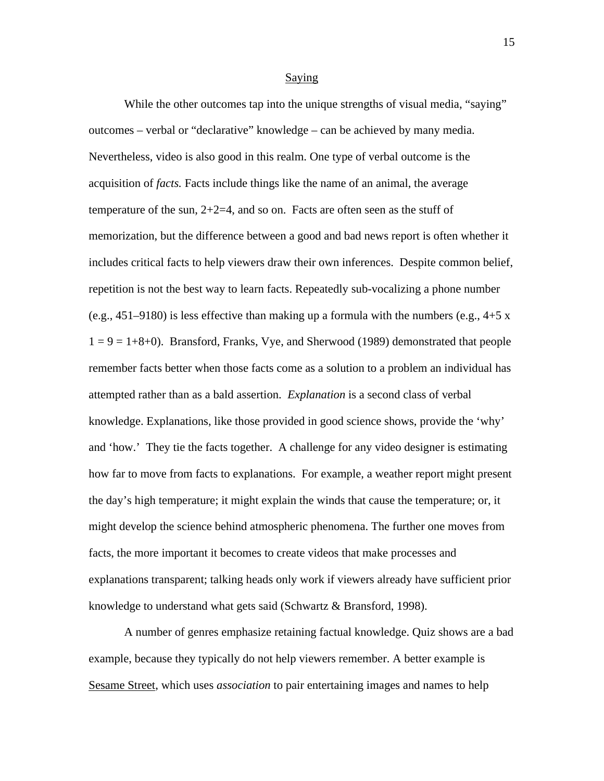## Saying

While the other outcomes tap into the unique strengths of visual media, "saying" outcomes – verbal or "declarative" knowledge – can be achieved by many media. Nevertheless, video is also good in this realm. One type of verbal outcome is the acquisition of *facts.* Facts include things like the name of an animal, the average temperature of the sun,  $2+2=4$ , and so on. Facts are often seen as the stuff of memorization, but the difference between a good and bad news report is often whether it includes critical facts to help viewers draw their own inferences. Despite common belief, repetition is not the best way to learn facts. Repeatedly sub-vocalizing a phone number (e.g., 451–9180) is less effective than making up a formula with the numbers (e.g.,  $4+5 \times$  $1 = 9 = 1+8+0$ . Bransford, Franks, Vye, and Sherwood (1989) demonstrated that people remember facts better when those facts come as a solution to a problem an individual has attempted rather than as a bald assertion. *Explanation* is a second class of verbal knowledge. Explanations, like those provided in good science shows, provide the 'why' and 'how.' They tie the facts together. A challenge for any video designer is estimating how far to move from facts to explanations. For example, a weather report might present the day's high temperature; it might explain the winds that cause the temperature; or, it might develop the science behind atmospheric phenomena. The further one moves from facts, the more important it becomes to create videos that make processes and explanations transparent; talking heads only work if viewers already have sufficient prior knowledge to understand what gets said (Schwartz & Bransford, 1998).

A number of genres emphasize retaining factual knowledge. Quiz shows are a bad example, because they typically do not help viewers remember. A better example is Sesame Street, which uses *association* to pair entertaining images and names to help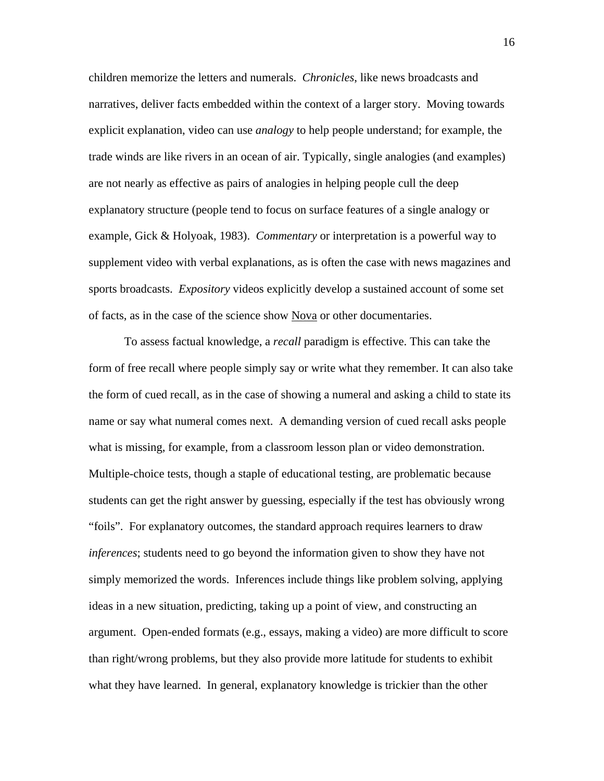children memorize the letters and numerals. *Chronicles*, like news broadcasts and narratives, deliver facts embedded within the context of a larger story. Moving towards explicit explanation, video can use *analogy* to help people understand; for example, the trade winds are like rivers in an ocean of air. Typically, single analogies (and examples) are not nearly as effective as pairs of analogies in helping people cull the deep explanatory structure (people tend to focus on surface features of a single analogy or example, Gick & Holyoak, 1983). *Commentary* or interpretation is a powerful way to supplement video with verbal explanations, as is often the case with news magazines and sports broadcasts. *Expository* videos explicitly develop a sustained account of some set of facts, as in the case of the science show Nova or other documentaries.

To assess factual knowledge, a *recall* paradigm is effective. This can take the form of free recall where people simply say or write what they remember. It can also take the form of cued recall, as in the case of showing a numeral and asking a child to state its name or say what numeral comes next. A demanding version of cued recall asks people what is missing, for example, from a classroom lesson plan or video demonstration. Multiple-choice tests, though a staple of educational testing, are problematic because students can get the right answer by guessing, especially if the test has obviously wrong "foils". For explanatory outcomes, the standard approach requires learners to draw *inferences*; students need to go beyond the information given to show they have not simply memorized the words. Inferences include things like problem solving, applying ideas in a new situation, predicting, taking up a point of view, and constructing an argument. Open-ended formats (e.g., essays, making a video) are more difficult to score than right/wrong problems, but they also provide more latitude for students to exhibit what they have learned. In general, explanatory knowledge is trickier than the other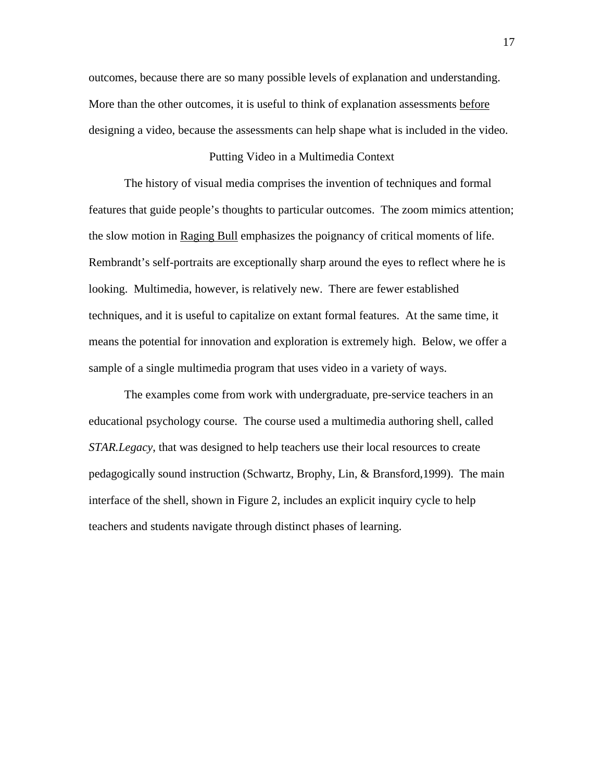outcomes, because there are so many possible levels of explanation and understanding. More than the other outcomes, it is useful to think of explanation assessments before designing a video, because the assessments can help shape what is included in the video.

## Putting Video in a Multimedia Context

The history of visual media comprises the invention of techniques and formal features that guide people's thoughts to particular outcomes. The zoom mimics attention; the slow motion in Raging Bull emphasizes the poignancy of critical moments of life. Rembrandt's self-portraits are exceptionally sharp around the eyes to reflect where he is looking. Multimedia, however, is relatively new. There are fewer established techniques, and it is useful to capitalize on extant formal features. At the same time, it means the potential for innovation and exploration is extremely high. Below, we offer a sample of a single multimedia program that uses video in a variety of ways.

The examples come from work with undergraduate, pre-service teachers in an educational psychology course. The course used a multimedia authoring shell, called *STAR.Legacy*, that was designed to help teachers use their local resources to create pedagogically sound instruction (Schwartz, Brophy, Lin, & Bransford,1999). The main interface of the shell, shown in Figure 2, includes an explicit inquiry cycle to help teachers and students navigate through distinct phases of learning.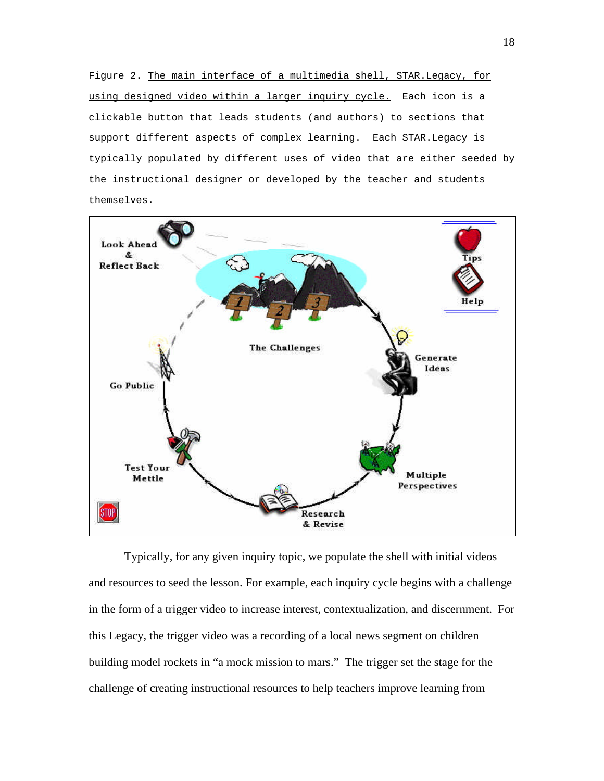Figure 2. The main interface of a multimedia shell, STAR. Legacy, for using designed video within a larger inquiry cycle. Each icon is a clickable button that leads students (and authors) to sections that support different aspects of complex learning. Each STAR.Legacy is typically populated by different uses of video that are either seeded by the instructional designer or developed by the teacher and students themselves.



Typically, for any given inquiry topic, we populate the shell with initial videos and resources to seed the lesson. For example, each inquiry cycle begins with a challenge in the form of a trigger video to increase interest, contextualization, and discernment. For this Legacy, the trigger video was a recording of a local news segment on children building model rockets in "a mock mission to mars." The trigger set the stage for the challenge of creating instructional resources to help teachers improve learning from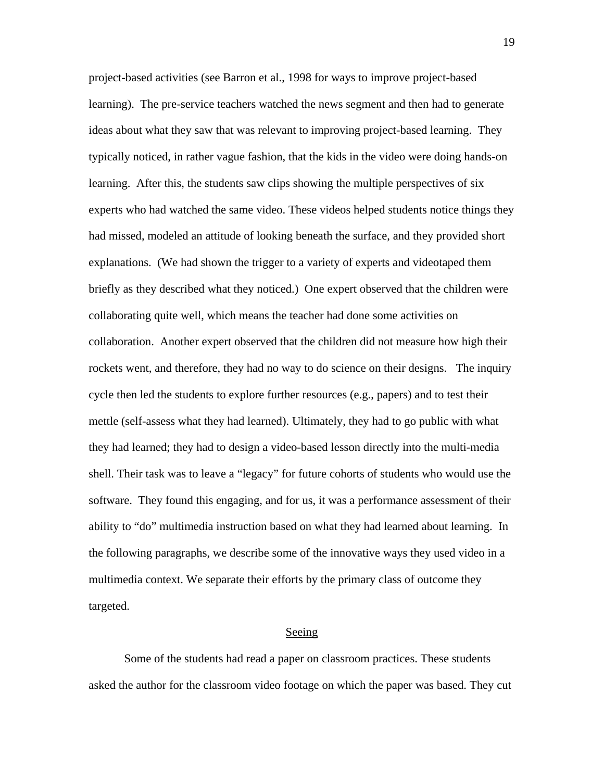project-based activities (see Barron et al., 1998 for ways to improve project-based learning). The pre-service teachers watched the news segment and then had to generate ideas about what they saw that was relevant to improving project-based learning. They typically noticed, in rather vague fashion, that the kids in the video were doing hands-on learning. After this, the students saw clips showing the multiple perspectives of six experts who had watched the same video. These videos helped students notice things they had missed, modeled an attitude of looking beneath the surface, and they provided short explanations. (We had shown the trigger to a variety of experts and videotaped them briefly as they described what they noticed.) One expert observed that the children were collaborating quite well, which means the teacher had done some activities on collaboration. Another expert observed that the children did not measure how high their rockets went, and therefore, they had no way to do science on their designs. The inquiry cycle then led the students to explore further resources (e.g., papers) and to test their mettle (self-assess what they had learned). Ultimately, they had to go public with what they had learned; they had to design a video-based lesson directly into the multi-media shell. Their task was to leave a "legacy" for future cohorts of students who would use the software. They found this engaging, and for us, it was a performance assessment of their ability to "do" multimedia instruction based on what they had learned about learning. In the following paragraphs, we describe some of the innovative ways they used video in a multimedia context. We separate their efforts by the primary class of outcome they targeted.

## Seeing

Some of the students had read a paper on classroom practices. These students asked the author for the classroom video footage on which the paper was based. They cut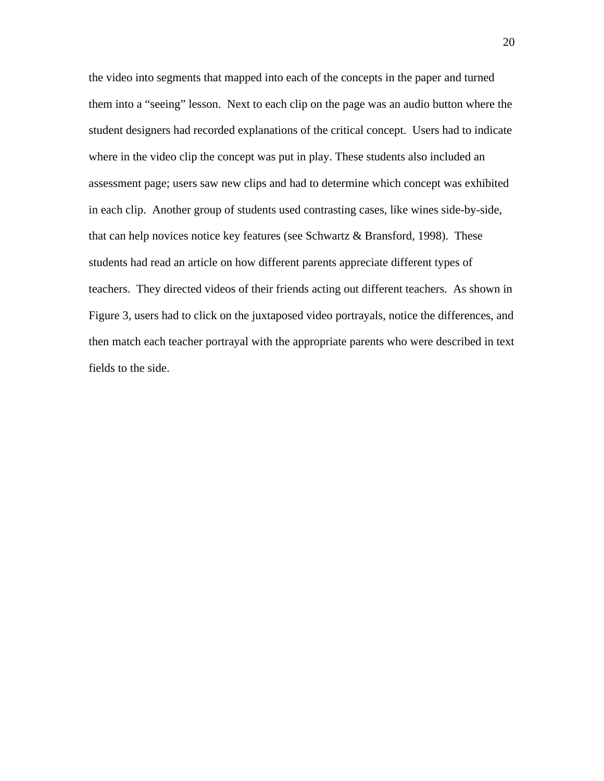the video into segments that mapped into each of the concepts in the paper and turned them into a "seeing" lesson. Next to each clip on the page was an audio button where the student designers had recorded explanations of the critical concept. Users had to indicate where in the video clip the concept was put in play. These students also included an assessment page; users saw new clips and had to determine which concept was exhibited in each clip. Another group of students used contrasting cases, like wines side-by-side, that can help novices notice key features (see Schwartz & Bransford, 1998). These students had read an article on how different parents appreciate different types of teachers. They directed videos of their friends acting out different teachers. As shown in Figure 3, users had to click on the juxtaposed video portrayals, notice the differences, and then match each teacher portrayal with the appropriate parents who were described in text fields to the side.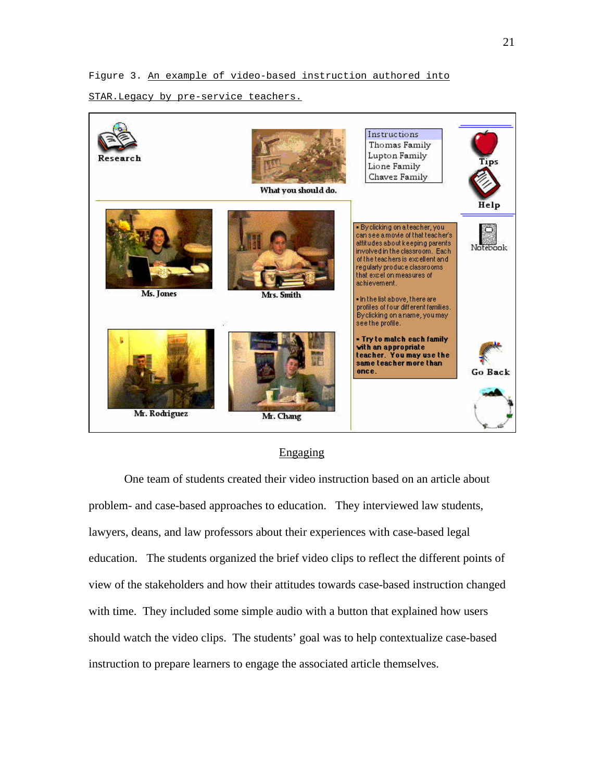STAR. Legacy by pre-service teachers.



## Engaging

One team of students created their video instruction based on an article about problem- and case-based approaches to education. They interviewed law students, lawyers, deans, and law professors about their experiences with case-based legal education. The students organized the brief video clips to reflect the different points of view of the stakeholders and how their attitudes towards case-based instruction changed with time. They included some simple audio with a button that explained how users should watch the video clips. The students' goal was to help contextualize case-based instruction to prepare learners to engage the associated article themselves.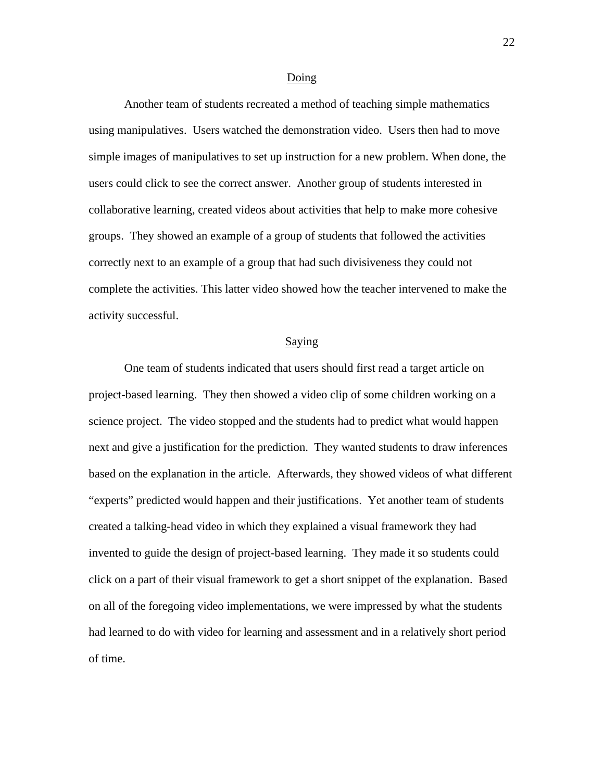## Doing

Another team of students recreated a method of teaching simple mathematics using manipulatives. Users watched the demonstration video. Users then had to move simple images of manipulatives to set up instruction for a new problem. When done, the users could click to see the correct answer. Another group of students interested in collaborative learning, created videos about activities that help to make more cohesive groups. They showed an example of a group of students that followed the activities correctly next to an example of a group that had such divisiveness they could not complete the activities. This latter video showed how the teacher intervened to make the activity successful.

## Saying

One team of students indicated that users should first read a target article on project-based learning. They then showed a video clip of some children working on a science project. The video stopped and the students had to predict what would happen next and give a justification for the prediction. They wanted students to draw inferences based on the explanation in the article. Afterwards, they showed videos of what different "experts" predicted would happen and their justifications. Yet another team of students created a talking-head video in which they explained a visual framework they had invented to guide the design of project-based learning. They made it so students could click on a part of their visual framework to get a short snippet of the explanation. Based on all of the foregoing video implementations, we were impressed by what the students had learned to do with video for learning and assessment and in a relatively short period of time.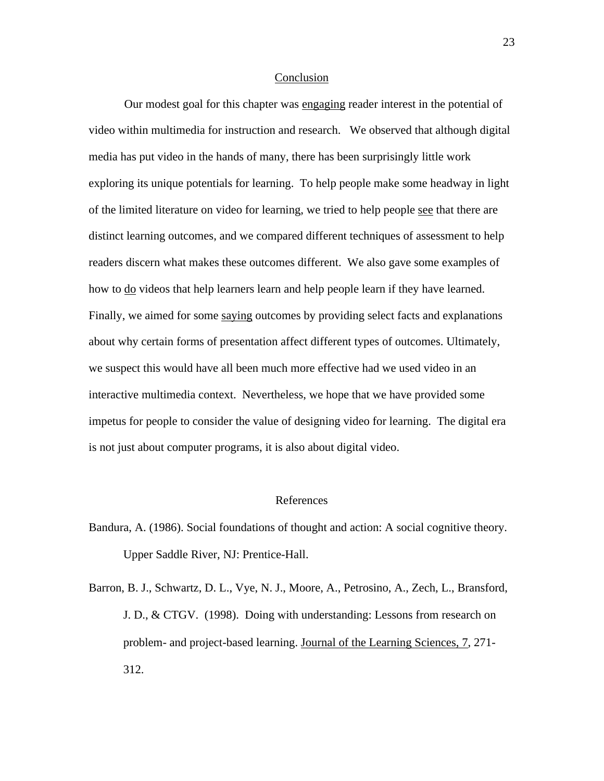### Conclusion

Our modest goal for this chapter was engaging reader interest in the potential of video within multimedia for instruction and research. We observed that although digital media has put video in the hands of many, there has been surprisingly little work exploring its unique potentials for learning. To help people make some headway in light of the limited literature on video for learning, we tried to help people see that there are distinct learning outcomes, and we compared different techniques of assessment to help readers discern what makes these outcomes different. We also gave some examples of how to do videos that help learners learn and help people learn if they have learned. Finally, we aimed for some saying outcomes by providing select facts and explanations about why certain forms of presentation affect different types of outcomes. Ultimately, we suspect this would have all been much more effective had we used video in an interactive multimedia context. Nevertheless, we hope that we have provided some impetus for people to consider the value of designing video for learning. The digital era is not just about computer programs, it is also about digital video.

## References

- Bandura, A. (1986). Social foundations of thought and action: A social cognitive theory. Upper Saddle River, NJ: Prentice-Hall.
- Barron, B. J., Schwartz, D. L., Vye, N. J., Moore, A., Petrosino, A., Zech, L., Bransford, J. D., & CTGV. (1998). Doing with understanding: Lessons from research on problem- and project-based learning. Journal of the Learning Sciences, 7, 271- 312.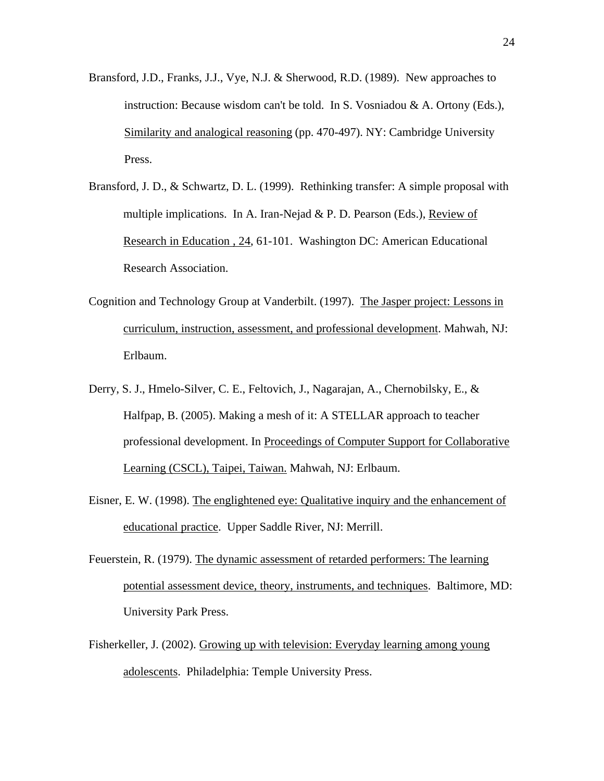- Bransford, J.D., Franks, J.J., Vye, N.J. & Sherwood, R.D. (1989). New approaches to instruction: Because wisdom can't be told. In S. Vosniadou & A. Ortony (Eds.), Similarity and analogical reasoning (pp. 470-497). NY: Cambridge University Press.
- Bransford, J. D., & Schwartz, D. L. (1999). Rethinking transfer: A simple proposal with multiple implications. In A. Iran-Nejad & P. D. Pearson (Eds.), Review of Research in Education , 24, 61-101. Washington DC: American Educational Research Association.
- Cognition and Technology Group at Vanderbilt. (1997). The Jasper project: Lessons in curriculum, instruction, assessment, and professional development. Mahwah, NJ: Erlbaum.
- Derry, S. J., Hmelo-Silver, C. E., Feltovich, J., Nagarajan, A., Chernobilsky, E., & Halfpap, B. (2005). Making a mesh of it: A STELLAR approach to teacher professional development. In Proceedings of Computer Support for Collaborative Learning (CSCL), Taipei, Taiwan. Mahwah, NJ: Erlbaum.
- Eisner, E. W. (1998). The englightened eye: Qualitative inquiry and the enhancement of educational practice. Upper Saddle River, NJ: Merrill.
- Feuerstein, R. (1979). The dynamic assessment of retarded performers: The learning potential assessment device, theory, instruments, and techniques. Baltimore, MD: University Park Press.
- Fisherkeller, J. (2002). Growing up with television: Everyday learning among young adolescents. Philadelphia: Temple University Press.